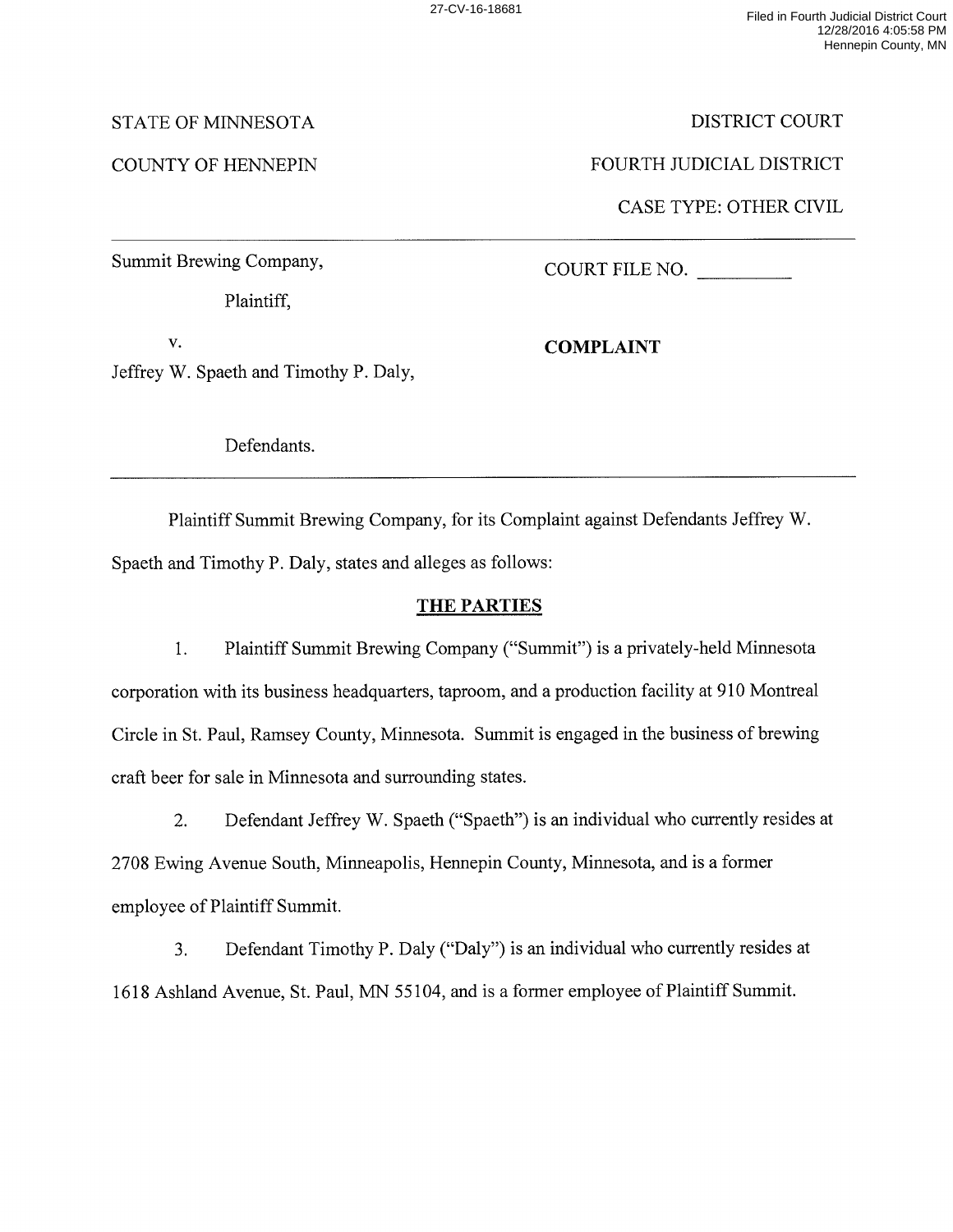DISTRICT COURT

FOURTH JUDICIAL DISTRICT

CASE TYPE: OTHER CIVIL

# STATE OF MINNESOTA

# COUNTY OF HENNEPIN

Summit Brewing Company,

Plaintiff,

COURT FILE NO.

V.

Jeffrey W. Spaeth and Timothy P. Daly,

Defendants.

Plaintiff Summit Brewing Company, for its Complaint against Defendants Jeffrey W. Spaeth and Timothy P. Daly, states and alleges as follows:

# **THE PARTIES**

1. Plaintiff Summit Brewing Company ("Summit") is a privately-held Minnesota corporation with its business headquarters, taproom, and a production facility at 910 Montreal Circle in St. Paul, Ramsey County, Minnesota. Summit is engaged in the business of brewing craft beer for sale in Minnesota and surrounding states.

2. Defendant Jeffrey W. Spaeth ("Spaeth") is an individual who currently resides at 2708 Ewing Avenue South, Minneapolis, Hennepin County, Minnesota, and is a former employee of Plaintiff Summit.

3. Defendant Timothy P. Daly ("Daly") is an individual who currently resides at 1618 Ashland Avenue, St. Paul, MN 55104, and is a former employee of Plaintiff Summit.

**COMPLAINT**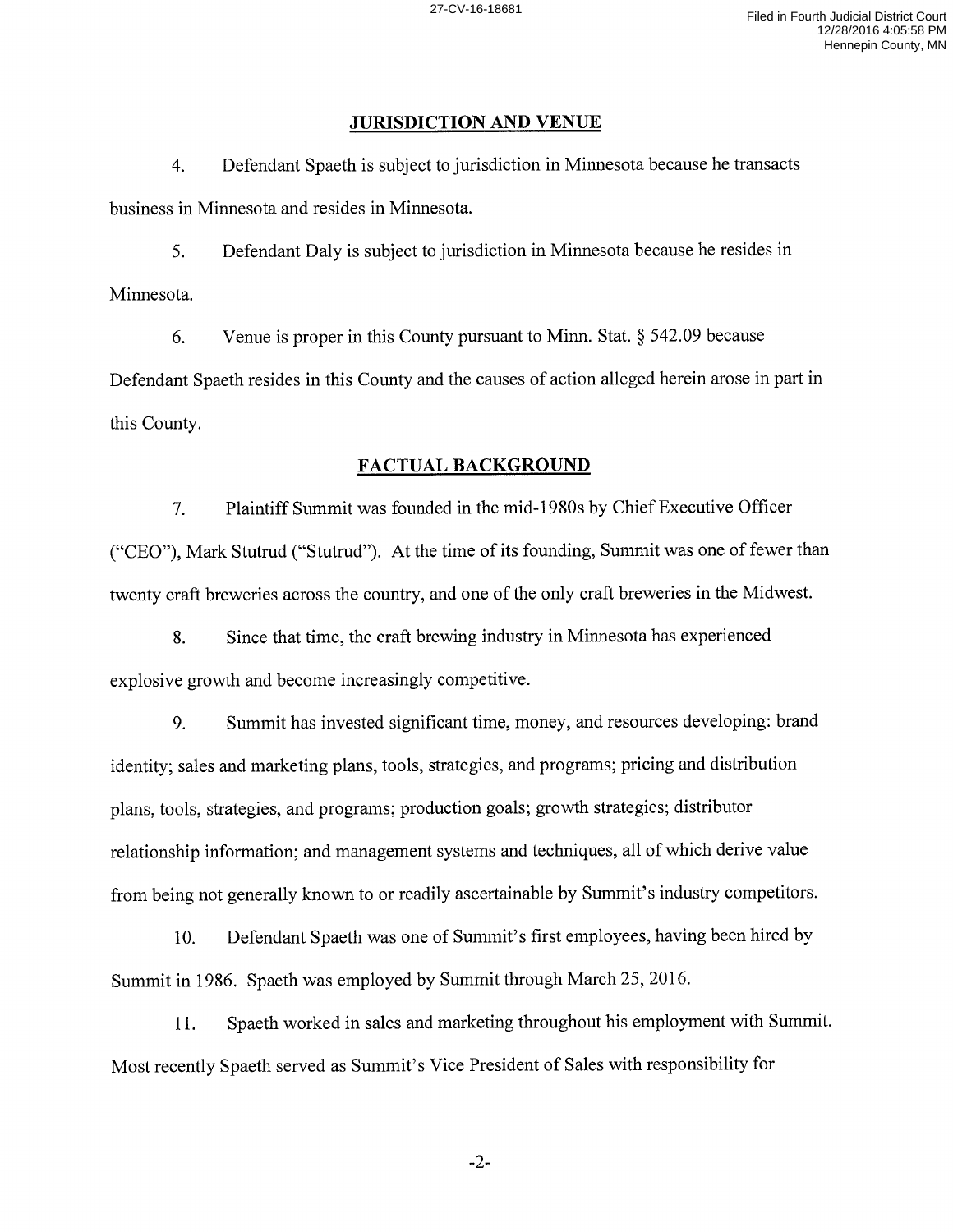#### **JURISDICTION AND VENUE**

4. Defendant Spaeth is subject to jurisdiction in Minnesota because he transacts business in Minnesota and resides in Minnesota.

5. Defendant Daly is subject to jurisdiction in Minnesota because he resides in Minnesota.

6. Venue is proper in this County pursuant to Minn. Stat. § 542.09 because Defendant Spaeth resides in this County and the causes of action alleged herein arose in part in this County.

## **FACTUAL BACKGROUND**

7. Plaintiff Summit was founded in the mid-1980s by Chief Executive Officer ("CEO"), Mark Stutrud ("Stutrud"). At the time of its founding, Summit was one of fewer than twenty craft breweries across the country, and one of the only craft breweries in the Midwest.

8. Since that time, the craft brewing industry in Minnesota has experienced explosive growth and become increasingly competitive.

9. Summit has invested significant time, money, and resources developing: brand identity; sales and marketing plans, tools, strategies, and programs; pricing and distribution plans, tools, strategies, and programs; production goals; growth strategies; distributor relationship information; and management systems and techniques, all of which derive value from being not generally known to or readily ascertainable by Summit's industry competitors.

10. Defendant Spaeth was one of Summit's first employees, having been hired by Summit in 1986. Spaeth was employed by Summit through March 25, 2016.

11. Spaeth worked in sales and marketing throughout his employment with Summit. Most recently Spaeth served as Summit's Vice President of Sales with responsibility for

-2-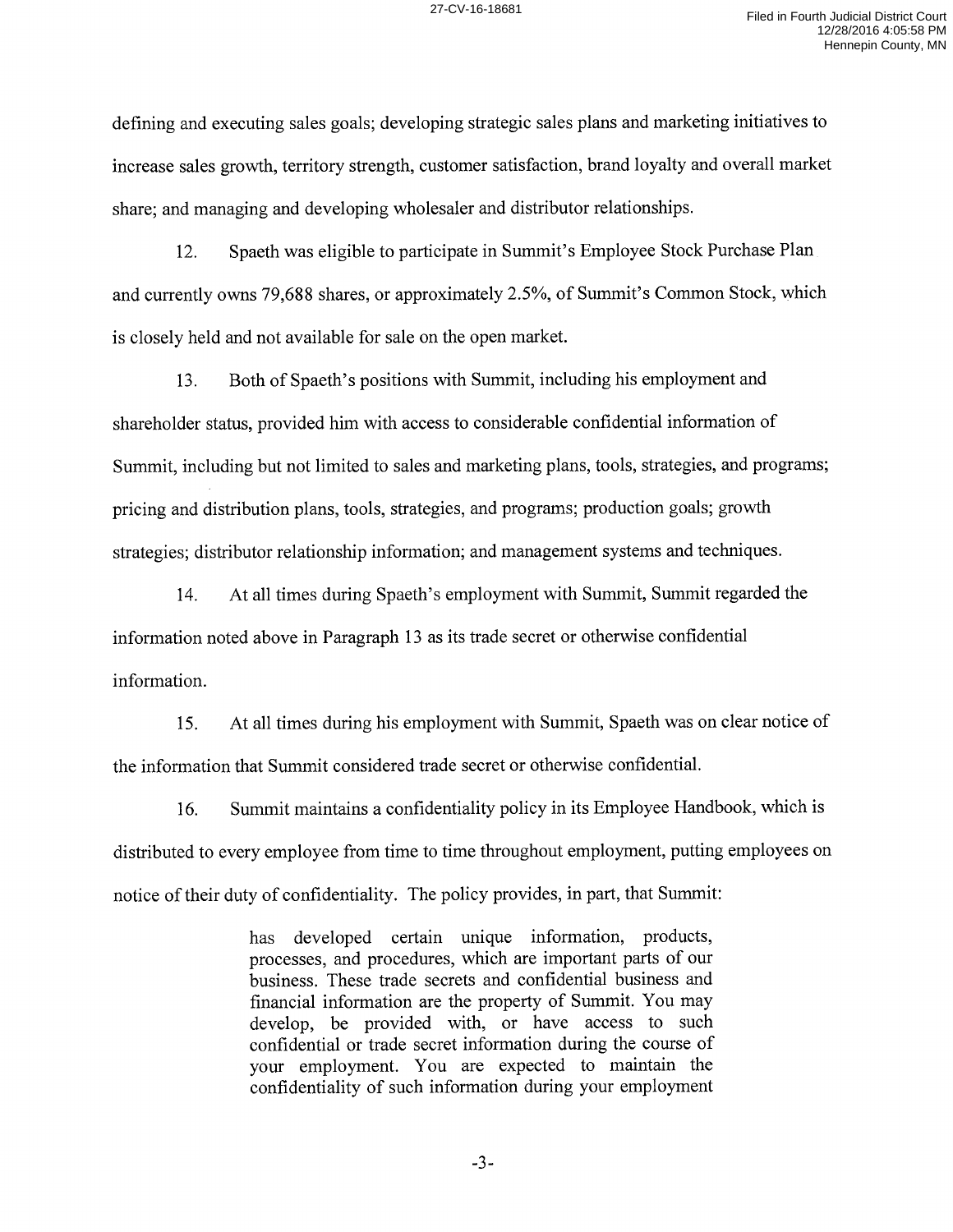defining and executing sales goals; developing strategic sales plans and marketing initiatives to increase sales growth, territory strength, customer satisfaction, brand loyalty and overall market share; and managing and developing wholesaler and distributor relationships.

12. Spaeth was eligible to participate in Summit's Employee Stock Purchase Plan and currently owns 79,688 shares, or approximately 2.5%, of Summit's Common Stock, which is closely held and not available for sale on the open market.

13. Both of Spaeth's positions with Summit, including his employment and shareholder status, provided him with access to considerable confidential information of Summit, including but not limited to sales and marketing plans, tools, strategies, and programs; pricing and distribution plans, tools, strategies, and programs; production goals; growth strategies; distributor relationship information; and management systems and techniques.

14. At all times during Spaeth's employment with Summit, Summit regarded the information noted above in Paragraph 13 as its trade secret or otherwise confidential information.

15. At all times during his employment with Summit, Spaeth was on clear notice of the information that Summit considered trade secret or otherwise confidential.

16. Summit maintains a confidentiality policy in its Employee Handbook, which is distributed to every employee from time to time throughout employment, putting employees on notice of their duty of confidentiality. The policy provides, in part, that Summit:

> has developed certain unique information, products, processes, and procedures, which are important parts of our business. These trade secrets and confidential business and financial information are the property of Summit. You may develop, be provided with, or have access to such confidential or trade secret information during the course of your employment. You are expected to maintain the confidentiality of such information during your employment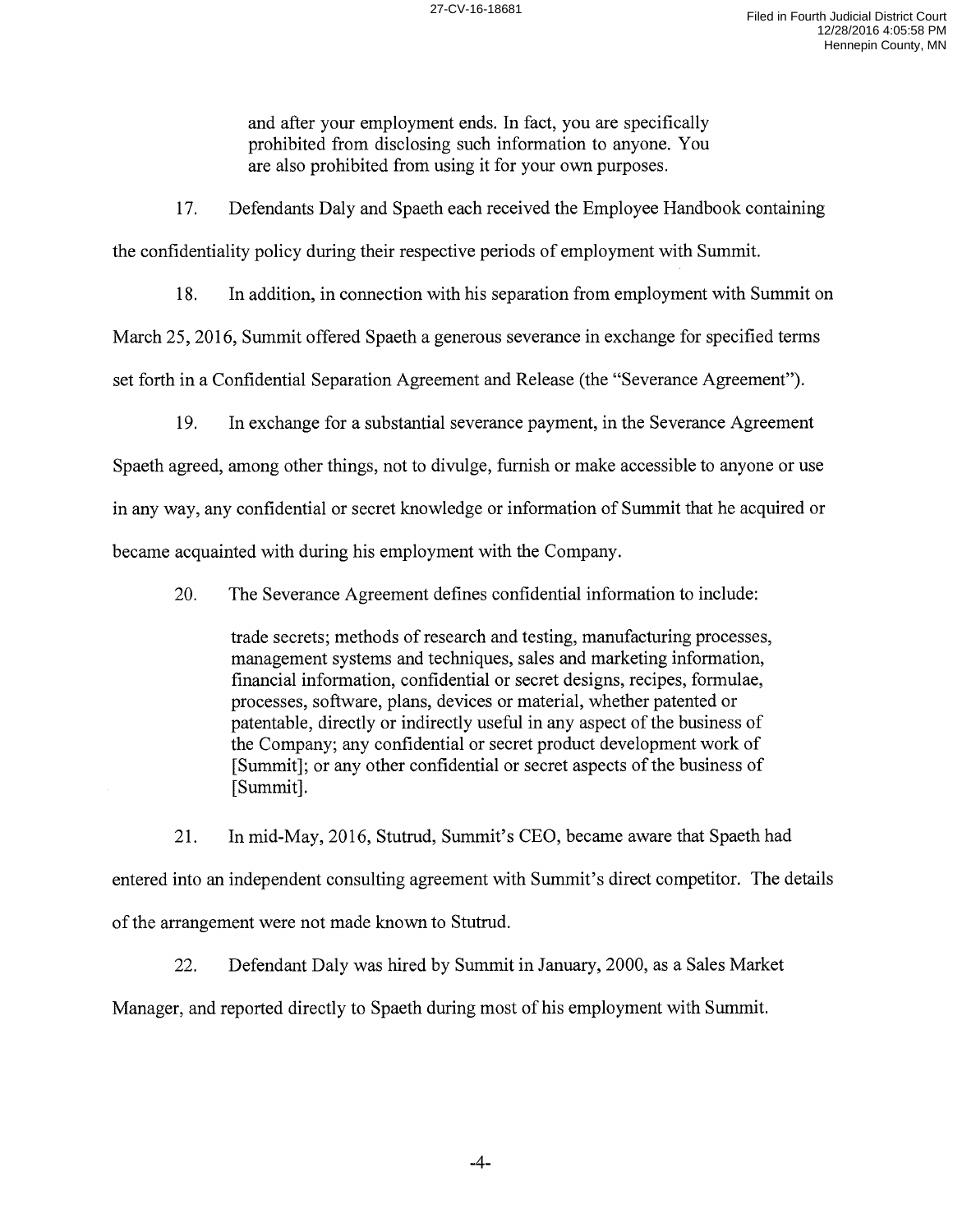and after your employment ends. In fact, you are specifically prohibited from disclosing such information to anyone. You are also prohibited from using it for your own purposes.

17. Defendants Daly and Spaeth each received the Employee Handbook containing

the confidentiality policy during their respective periods of employment with Summit.

18. In addition, in connection with his separation from employment with Summit on

March 25, 2016, Summit offered Spaeth a generous severance in exchange for specified terms

set forth in a Confidential Separation Agreement and Release (the "Severance Agreement").

19. In exchange for a substantial severance payment, in the Severance Agreement

Spaeth agreed, among other things, not to divulge, furnish or make accessible to anyone or use in any way, any confidential or secret knowledge or information of Summit that he acquired or became acquainted with during his employment with the Company.

20. The Severance Agreement defines confidential information to include:

trade secrets; methods of research and testing, manufacturing processes, management systems and techniques, sales and marketing information, financial information, confidential or secret designs, recipes, formulae, processes, software, plans, devices or material, whether patented or patentable, directly or indirectly useful in any aspect of the business of the Company; any confidential or secret product development work of [Summit]; or any other confidential or secret aspects of the business of [Summit].

21. In mid-May, 2016, Stutrud, Summit's CEO, became aware that Spaeth had entered into an independent consulting agreement with Summit's direct competitor. The details of the arrangement were not made known to Stutrud.

22. Defendant Daly was hired by Summit in January, 2000, as a Sales Market

Manager, and reported directly to Spaeth during most of his employment with Summit.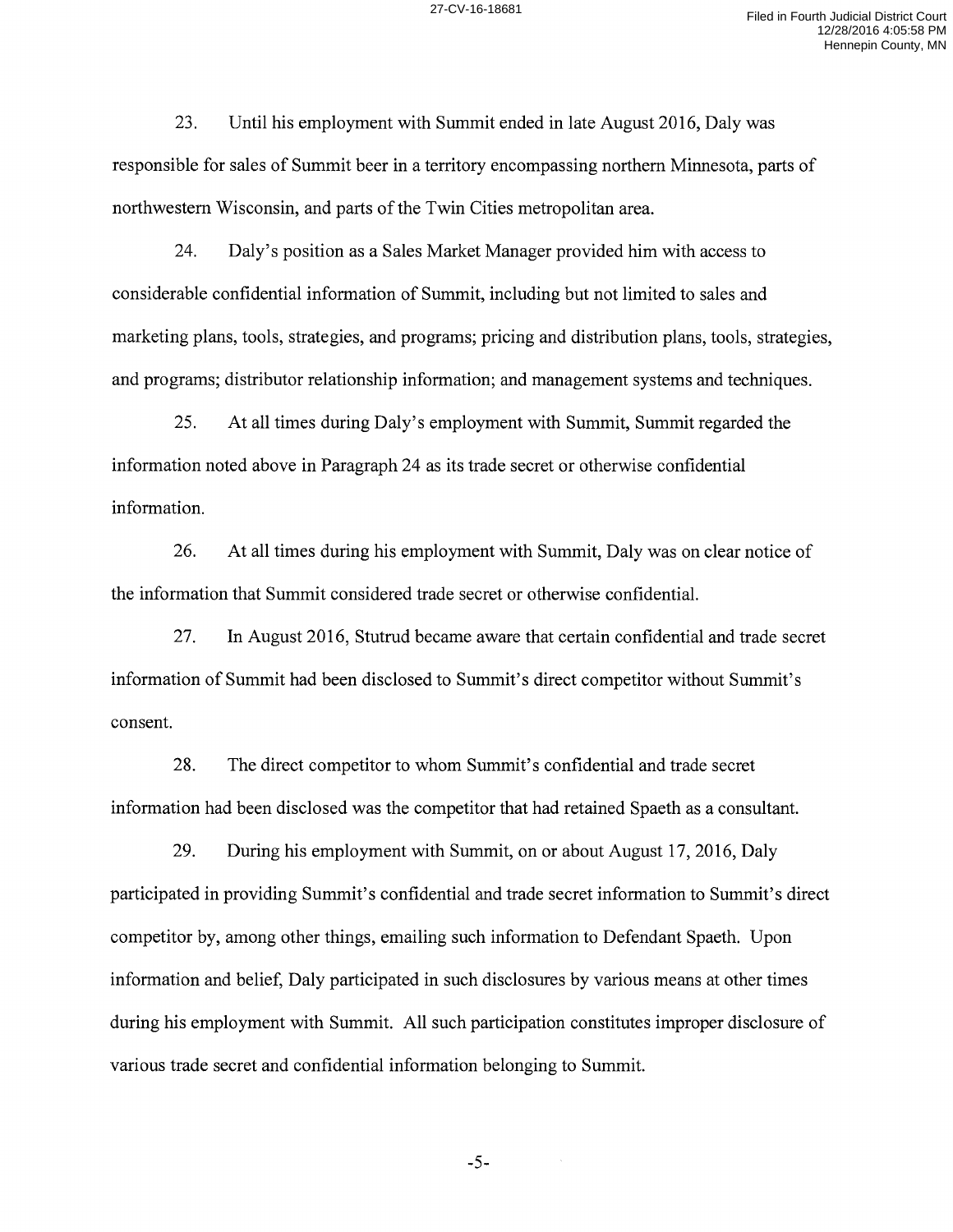23. Until his employment with Summit ended in late August 2016, Daly was responsible for sales of Summit beer in a territory encompassing northern Minnesota, parts of northwestern Wisconsin, and parts of the Twin Cities metropolitan area.

24. Daly's position as a Sales Market Manager provided him with access to considerable confidential information of Summit, including but not limited to sales and marketing plans, tools, strategies, and programs; pricing and distribution plans, tools, strategies, and programs; distributor relationship information; and management systems and techniques.

25. At all times during Daly's employment with Summit, Summit regarded the information noted above in Paragraph 24 as its trade secret or otherwise confidential information.

26. At all times during his employment with Summit, Daly was on clear notice of the information that Summit considered trade secret or otherwise confidential.

27. In August 2016, Stutrud became aware that certain confidential and trade secret information of Summit had been disclosed to Summit's direct competitor without Summit's consent.

28. The direct competitor to whom Summit's confidential and trade secret information had been disclosed was the competitor that had retained Spaeth as a consultant.

29. During his employment with Summit, on or about August 17, 2016, Daly participated in providing Summit's confidential and trade secret information to Summit's direct competitor by, among other things, emailing such information to Defendant Spaeth. Upon information and belief, Daly participated in such disclosures by various means at other times during his employment with Summit. All such participation constitutes improper disclosure of various trade secret and confidential information belonging to Summit.

-5-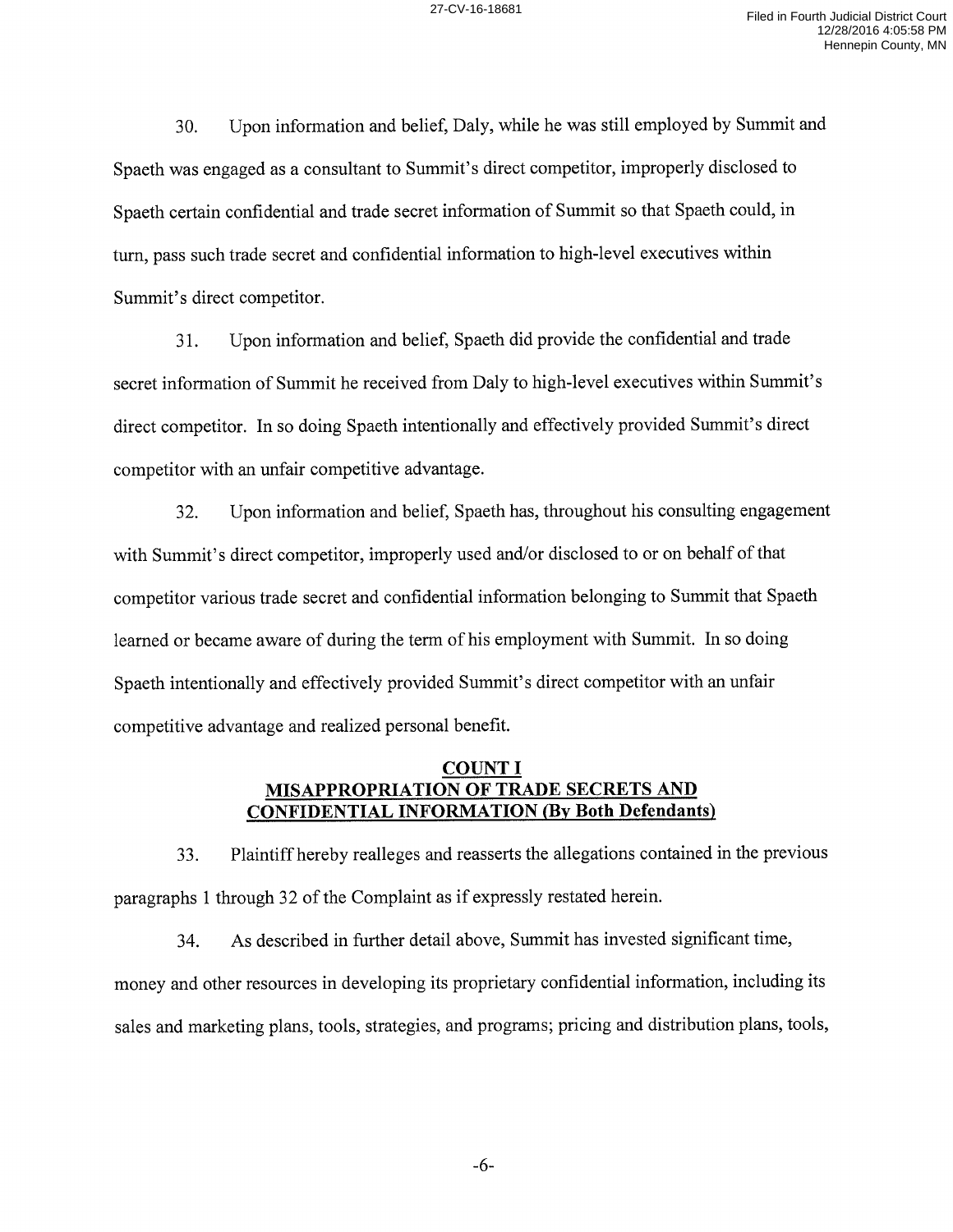30. Upon information and belief, Daly, while he was still employed by Summit and Spaeth was engaged as a consultant to Summit's direct competitor, improperly disclosed to Spaeth certain confidential and trade secret information of Summit so that Spaeth could, in tum, pass such trade secret and confidential information to high-level executives within Summit's direct competitor.

31. Upon information and belief, Spaeth did provide the confidential and trade secret information of Summit he received from Daly to high-level executives within Summit's direct competitor. In so doing Spaeth intentionally and effectively provided Summit's direct competitor with an unfair competitive advantage.

32. Upon information and belief, Spaeth has, throughout his consulting engagement with Summit's direct competitor, improperly used and/or disclosed to or on behalf of that competitor various trade secret and confidential information belonging to Summit that Spaeth learned or became aware of during the term of his employment with Summit. In so doing Spaeth intentionally and effectively provided Summit's direct competitor with an unfair competitive advantage and realized personal benefit.

#### **COUNTI MISAPPROPRIATION OF TRADE SECRETS AND CONFIDENTIAL INFORMATION (By Both Defendants)**

33. Plaintiff hereby realleges and reasserts the allegations contained in the previous paragraphs 1 through 32 of the Complaint as if expressly restated herein.

34. As described in further detail above, Summit has invested significant time, money and other resources in developing its proprietary confidential information, including its sales and marketing plans, tools, strategies, and programs; pricing and distribution plans, tools,

-6-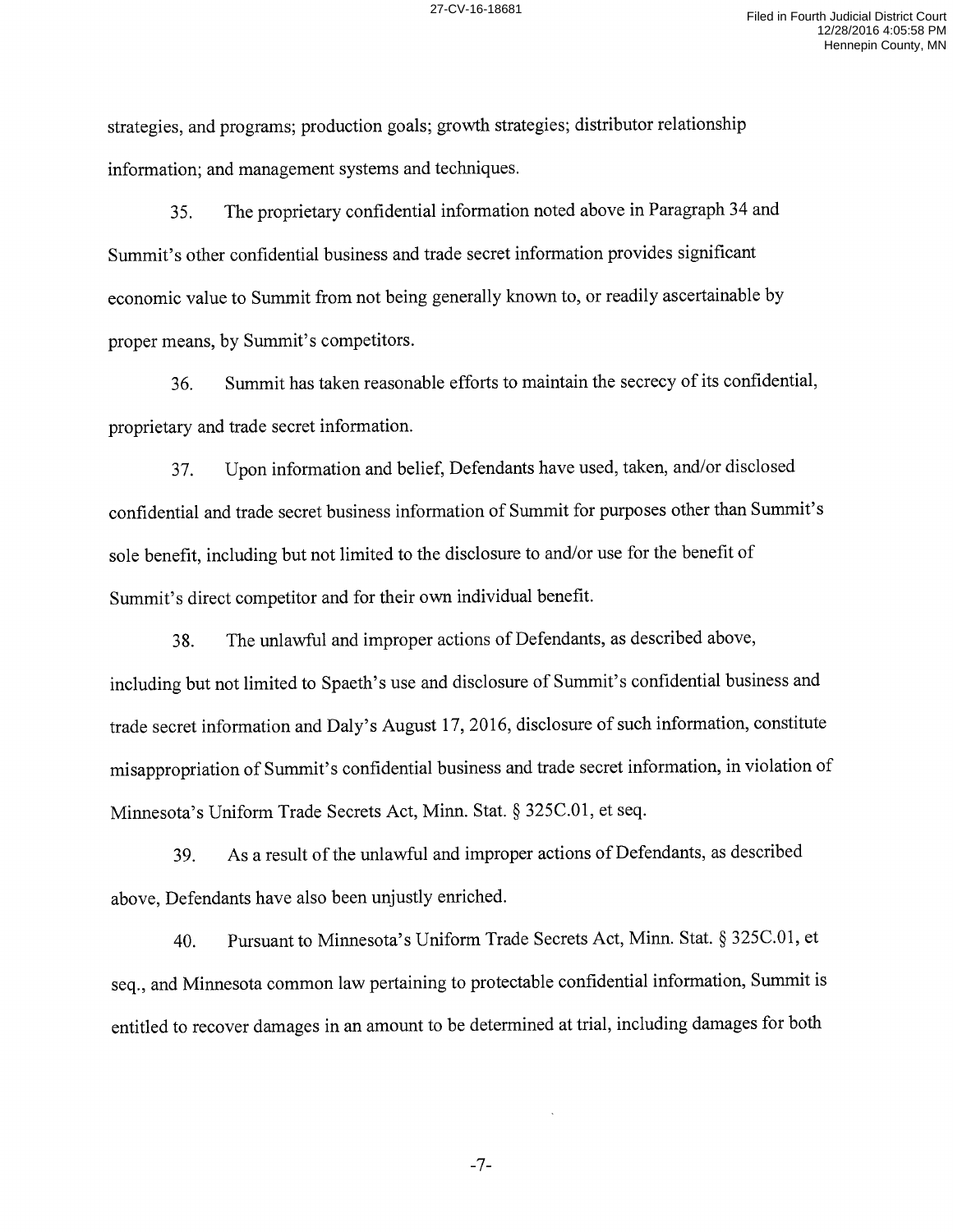strategies, and programs; production goals; growth strategies; distributor relationship information; and management systems and techniques.

35. The proprietary confidential information noted above in Paragraph 34 and Summit's other confidential business and trade secret information provides significant economic value to Summit from not being generally known to, or readily ascertainable by proper means, by Summit's competitors.

36. Summit has taken reasonable efforts to maintain the secrecy of its confidential, proprietary and trade secret information.

37. Upon information and belief, Defendants have used, taken, and/or disclosed confidential and trade secret business information of Summit for purposes other than Summit's sole benefit, including but not limited to the disclosure to and/or use for the benefit of Summit's direct competitor and for their own individual benefit.

38. The unlawful and improper actions of Defendants, as described above, including but not limited to Spaeth's use and disclosure of Summit's confidential business and trade secret information and Daly's August 17, 2016, disclosure of such information, constitute misappropriation of Summit's confidential business and trade secret information, in violation of Minnesota's Uniform Trade Secrets Act, Minn. Stat. § 325C.01, et seq.

39. As a result of the unlawful and improper actions of Defendants, as described above, Defendants have also been unjustly enriched.

40. Pursuant to Minnesota's Uniform Trade Secrets Act, Minn. Stat. § 325C.01, et seq., and Minnesota common law pertaining to protectable confidential information, Summit is entitled to recover damages in an amount to be determined at trial, including damages for both

-7-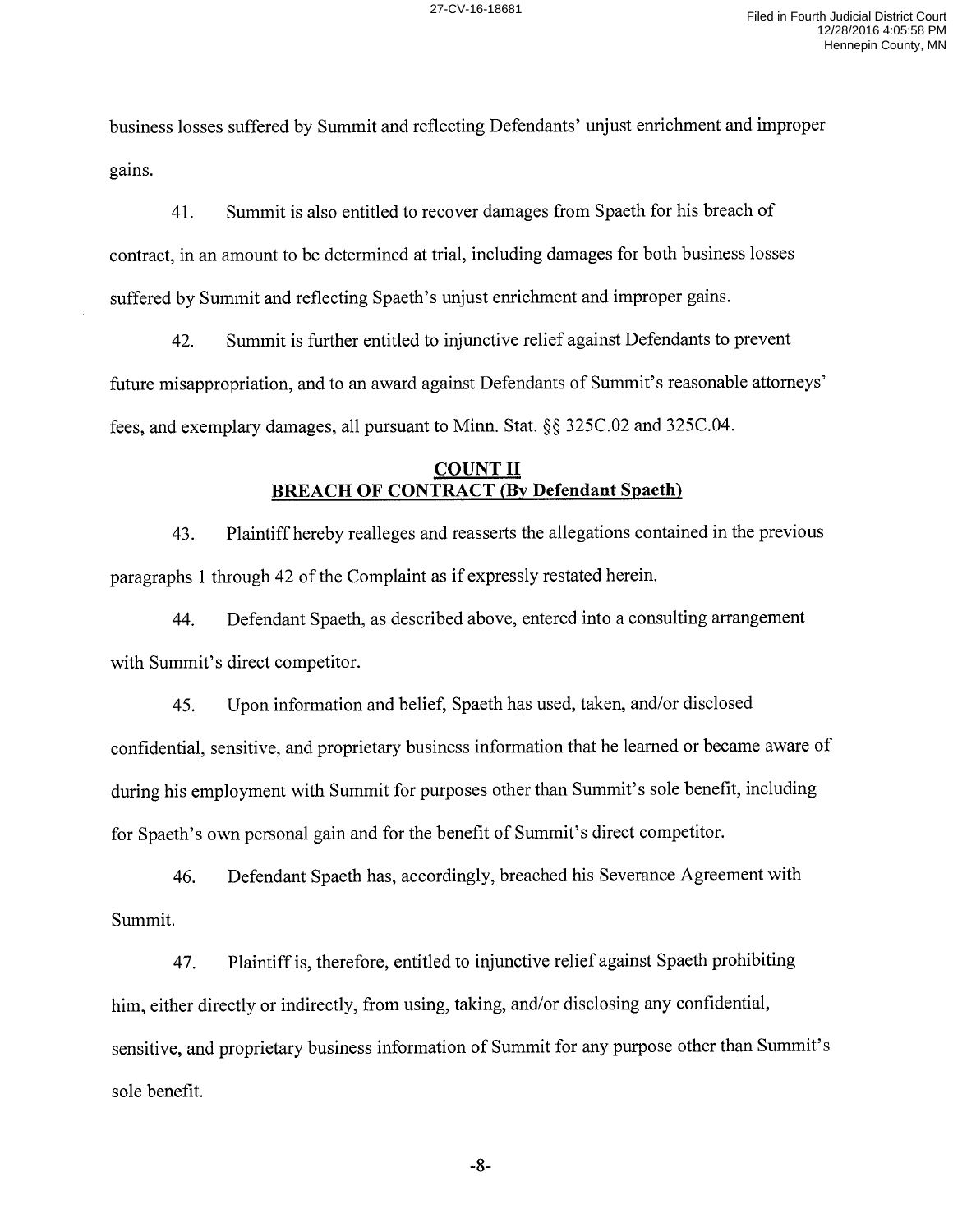business losses suffered by Summit and reflecting Defendants' unjust enrichment and improper gains.

41. Summit is also entitled to recover damages from Spaeth for his breach of contract, in an amount to be determined at trial, including damages for both business losses suffered by Summit and reflecting Spaeth's unjust enrichment and improper gains.

42. Summit is further entitled to injunctive relief against Defendants to prevent future misappropriation, and to an award against Defendants of Summit's reasonable attorneys' fees, and exemplary damages, all pursuant to Minn. Stat.§§ 325C.02 and 325C.04.

#### **COUNT II BREACH OF CONTRACT** *(By* **Defendant Spaeth)**

43. Plaintiff hereby realleges and reasserts the allegations contained in the previous paragraphs 1 through 42 of the Complaint as if expressly restated herein.

44. Defendant Spaeth, as described above, entered into a consulting arrangement with Summit's direct competitor.

45. Upon information and belief, Spaeth has used, taken, and/or disclosed confidential, sensitive, and proprietary business information that he learned or became aware of during his employment with Summit for purposes other than Summit's sole benefit, including for Spaeth's own personal gain and for the benefit of Summit's direct competitor.

46. Defendant Spaeth has, accordingly, breached his Severance Agreement with Summit.

47. Plaintiff is, therefore, entitled to injunctive relief against Spaeth prohibiting him, either directly or indirectly, from using, taking, and/or disclosing any confidential, sensitive, and proprietary business information of Summit for any purpose other than Summit's sole benefit.

-8-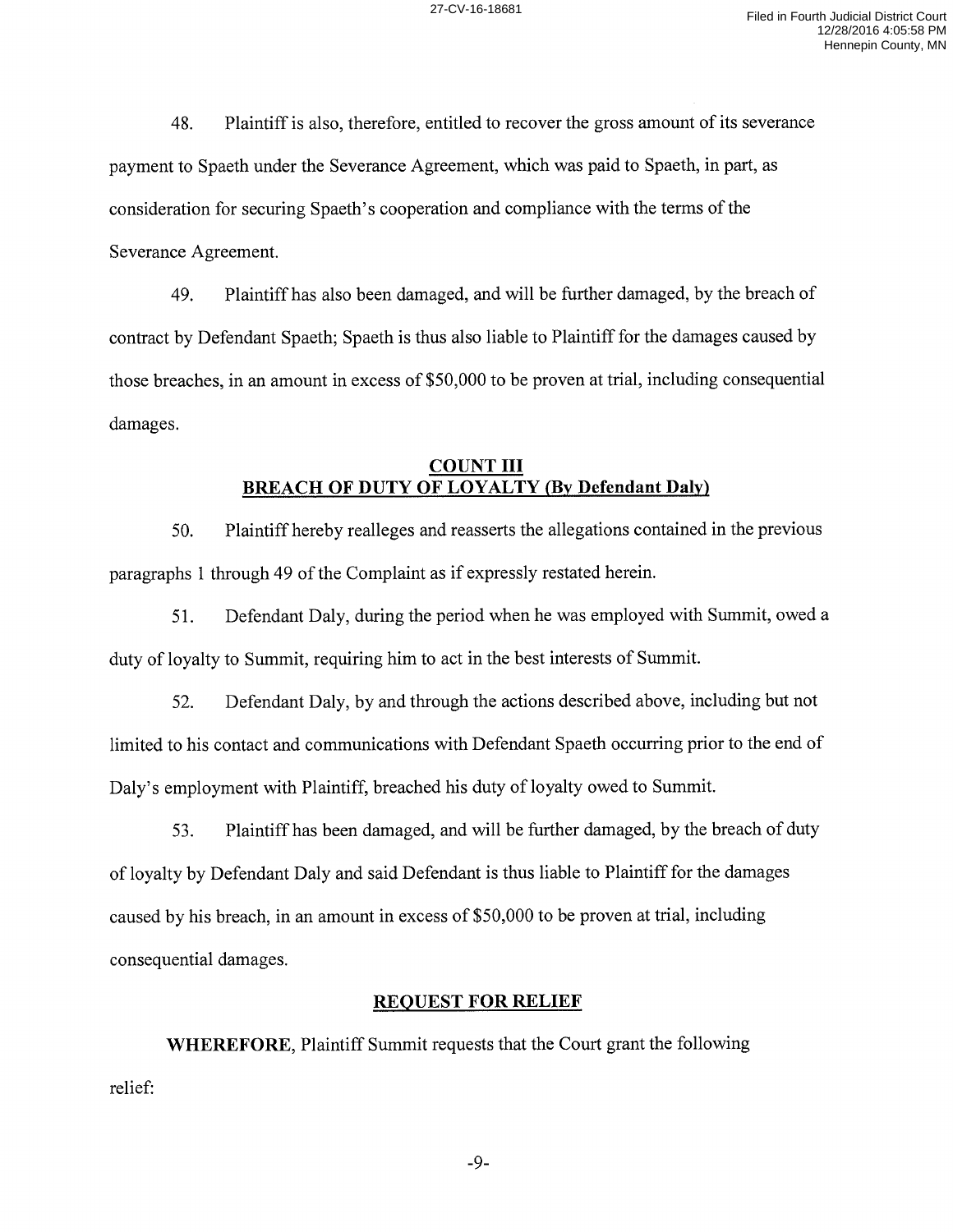48. Plaintiff is also, therefore, entitled to recover the gross amount of its severance payment to Spaeth under the Severance Agreement, which was paid to Spaeth, in part, as consideration for securing Spaeth's cooperation and compliance with the terms of the Severance Agreement.

49. Plaintiff has also been damaged, and will be further damaged, by the breach of contract by Defendant Spaeth; Spaeth is thus also liable to Plaintiff for the damages caused by those breaches, in an amount in excess of \$50,000 to be proven at trial, including consequential damages.

### **COUNT III BREACH OF DUTY OF LOYALTY (By Defendant Daly)**

50. Plaintiff hereby realleges and reasserts the allegations contained in the previous paragraphs 1 through 49 of the Complaint as if expressly restated herein.

51. Defendant Daly, during the period when he was employed with Summit, owed a duty of loyalty to Summit, requiring him to act in the best interests of Summit.

52. Defendant Daly, by and through the actions described above, including but not limited to his contact and communications with Defendant Spaeth occurring prior to the end of Daly's employment with Plaintiff, breached his duty of loyalty owed to Summit.

53. Plaintiff has been damaged, and will be further damaged, by the breach of duty of loyalty by Defendant Daly and said Defendant is thus liable to Plaintiff for the damages caused by his breach, in an amount in excess of \$50,000 to be proven at trial, including consequential damages.

#### **REQUEST FOR RELIEF**

**WHEREFORE,** Plaintiff Summit requests that the Court grant the following relief:

-9-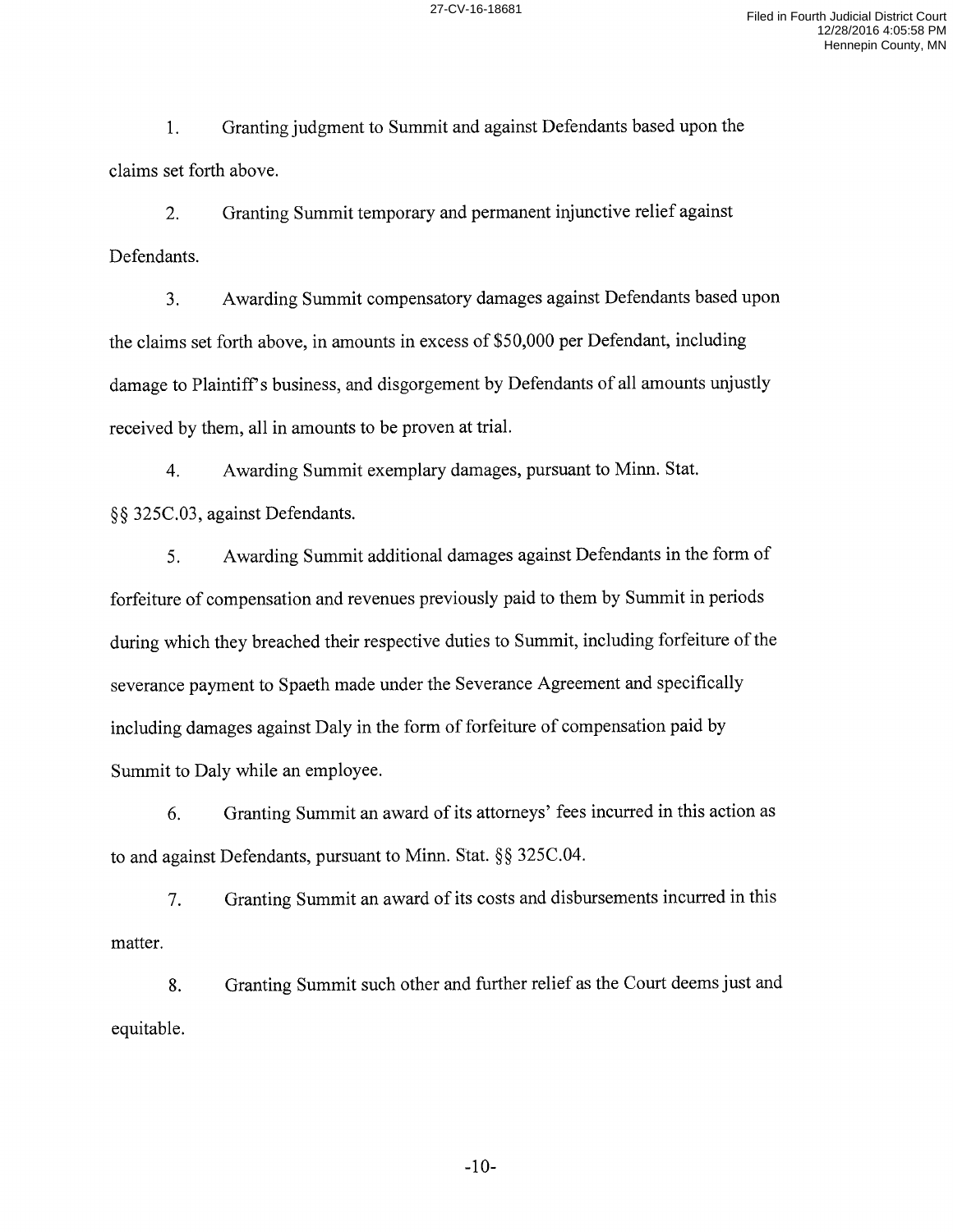1. Granting judgment to Summit and against Defendants based upon the claims set forth above.

2. Granting Summit temporary and permanent injunctive relief against Defendants.

3. Awarding Summit compensatory damages against Defendants based upon the claims set forth above, in amounts in excess of \$50,000 per Defendant, including damage to Plaintiff's business, and disgorgement by Defendants of all amounts unjustly received by them, all in amounts to be proven at trial.

4. Awarding Summit exemplary damages, pursuant to Minn. Stat. §§ 325C.03, against Defendants.

5. Awarding Summit additional damages against Defendants in the form of forfeiture of compensation and revenues previously paid to them by Summit in periods during which they breached their respective duties to Summit, including forfeiture of the severance payment to Spaeth made under the Severance Agreement and specifically including damages against Daly in the form of forfeiture of compensation paid by Summit to Daly while an employee.

6. Granting Summit an award of its attorneys' fees incurred in this action as to and against Defendants, pursuant to Minn. Stat.§§ 325C.04.

7. Granting Summit an award of its costs and disbursements incurred in this matter.

8. Granting Summit such other and further relief as the Court deems just and equitable.

-10-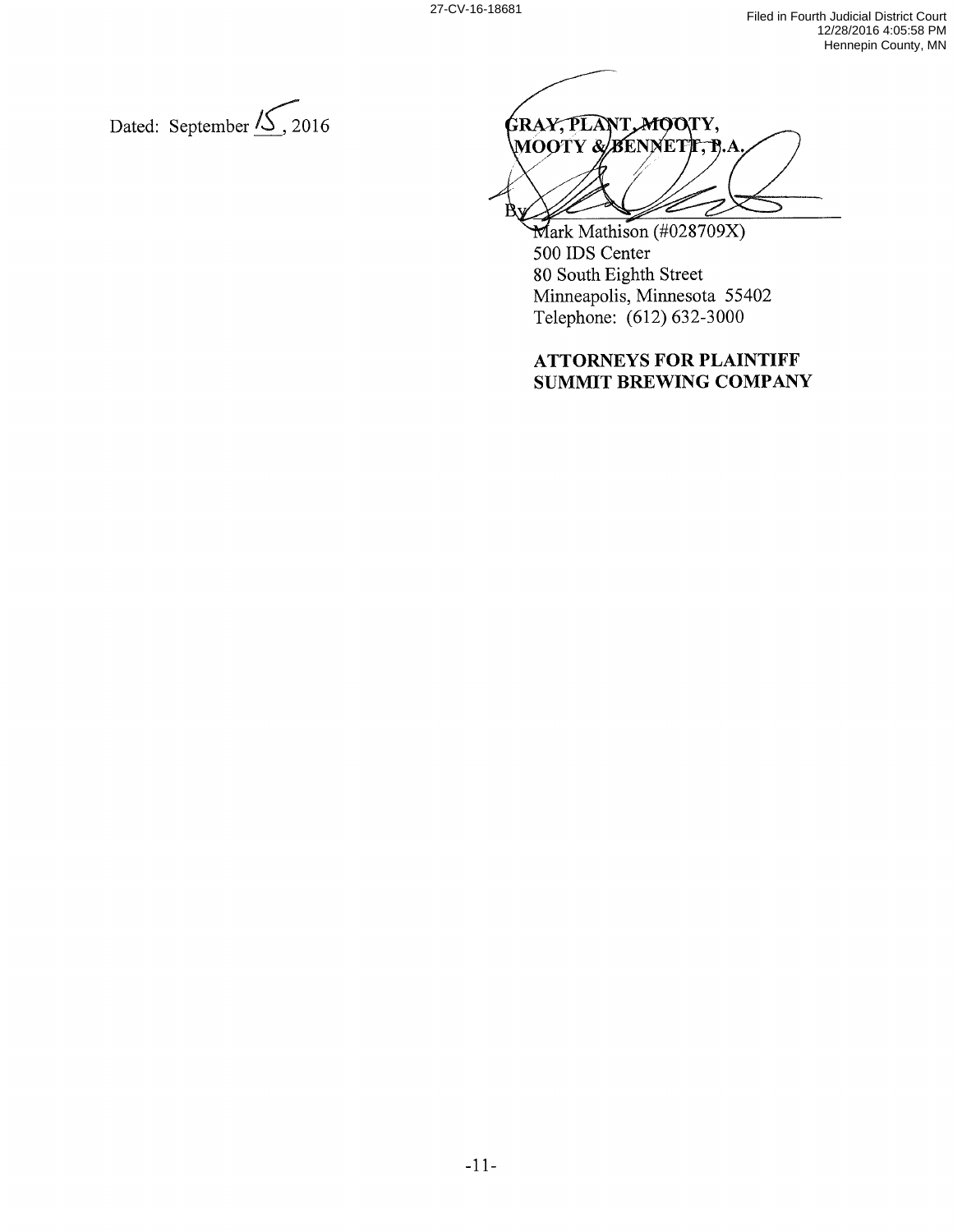Dated: September  $\overline{\mathcal{L}}$ , 2016

GRAY, PLANT, MOOTY, **MOOTY & BENNETT, B.A** R

Mark Mathison (#028709X) 500 IDS Center 80 South Eighth Street Minneapolis, Minnesota 55402 Telephone: (612) 632-3000

## **ATTORNEYS FOR PLAINTIFF SUMMIT BREWING COMPANY**